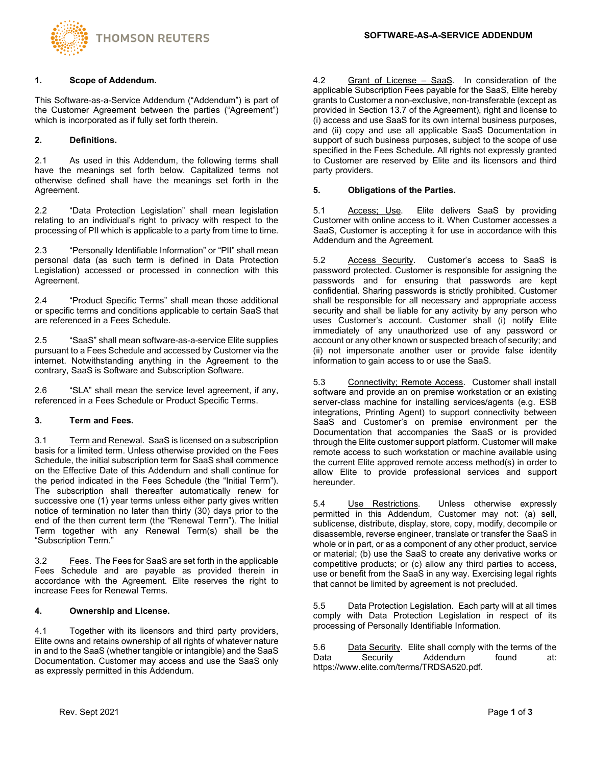

## **1. Scope of Addendum.**

This Software-as-a-Service Addendum ("Addendum") is part of the Customer Agreement between the parties ("Agreement") which is incorporated as if fully set forth therein.

## **2. Definitions.**

2.1 As used in this Addendum, the following terms shall have the meanings set forth below. Capitalized terms not otherwise defined shall have the meanings set forth in the Agreement.

2.2 "Data Protection Legislation" shall mean legislation relating to an individual's right to privacy with respect to the processing of PII which is applicable to a party from time to time.

2.3 "Personally Identifiable Information" or "PII" shall mean personal data (as such term is defined in Data Protection Legislation) accessed or processed in connection with this Agreement.

2.4 "Product Specific Terms" shall mean those additional or specific terms and conditions applicable to certain SaaS that are referenced in a Fees Schedule.

2.5 "SaaS" shall mean software-as-a-service Elite supplies pursuant to a Fees Schedule and accessed by Customer via the internet. Notwithstanding anything in the Agreement to the contrary, SaaS is Software and Subscription Software.

2.6 "SLA" shall mean the service level agreement, if any, referenced in a Fees Schedule or Product Specific Terms.

# **3. Term and Fees.**

3.1 Term and Renewal. SaaS is licensed on a subscription basis for a limited term. Unless otherwise provided on the Fees Schedule, the initial subscription term for SaaS shall commence on the Effective Date of this Addendum and shall continue for the period indicated in the Fees Schedule (the "Initial Term"). The subscription shall thereafter automatically renew for successive one (1) year terms unless either party gives written notice of termination no later than thirty (30) days prior to the end of the then current term (the "Renewal Term"). The Initial Term together with any Renewal Term(s) shall be the "Subscription Term."

3.2 Fees. The Fees for SaaS are set forth in the applicable Fees Schedule and are payable as provided therein in accordance with the Agreement. Elite reserves the right to increase Fees for Renewal Terms.

#### **4. Ownership and License.**

4.1 Together with its licensors and third party providers, Elite owns and retains ownership of all rights of whatever nature in and to the SaaS (whether tangible or intangible) and the SaaS Documentation. Customer may access and use the SaaS only as expressly permitted in this Addendum.

4.2 Grant of License – SaaS. In consideration of the applicable Subscription Fees payable for the SaaS, Elite hereby grants to Customer a non-exclusive, non-transferable (except as provided in Section 13.7 of the Agreement), right and license to (i) access and use SaaS for its own internal business purposes, and (ii) copy and use all applicable SaaS Documentation in support of such business purposes, subject to the scope of use specified in the Fees Schedule. All rights not expressly granted to Customer are reserved by Elite and its licensors and third party providers.

#### **5. Obligations of the Parties.**

5.1 Access; Use. Elite delivers SaaS by providing Customer with online access to it. When Customer accesses a SaaS, Customer is accepting it for use in accordance with this Addendum and the Agreement.

5.2 Access Security. Customer's access to SaaS is password protected. Customer is responsible for assigning the passwords and for ensuring that passwords are kept confidential. Sharing passwords is strictly prohibited. Customer shall be responsible for all necessary and appropriate access security and shall be liable for any activity by any person who uses Customer's account. Customer shall (i) notify Elite immediately of any unauthorized use of any password or account or any other known or suspected breach of security; and (ii) not impersonate another user or provide false identity information to gain access to or use the SaaS.

5.3 Connectivity; Remote Access. Customer shall install software and provide an on premise workstation or an existing server-class machine for installing services/agents (e.g. ESB integrations, Printing Agent) to support connectivity between SaaS and Customer's on premise environment per the Documentation that accompanies the SaaS or is provided through the Elite customer support platform. Customer will make remote access to such workstation or machine available using the current Elite approved remote access method(s) in order to allow Elite to provide professional services and support hereunder.

5.4 Use Restrictions. Unless otherwise expressly permitted in this Addendum, Customer may not: (a) sell, sublicense, distribute, display, store, copy, modify, decompile or disassemble, reverse engineer, translate or transfer the SaaS in whole or in part, or as a component of any other product, service or material; (b) use the SaaS to create any derivative works or competitive products; or (c) allow any third parties to access, use or benefit from the SaaS in any way. Exercising legal rights that cannot be limited by agreement is not precluded.

5.5 Data Protection Legislation. Each party will at all times comply with Data Protection Legislation in respect of its processing of Personally Identifiable Information.

5.6 Data Security. Elite shall comply with the terms of the<br>Data Security Addendum found at: Addendum [https://www.elite.com/terms/TRDSA520.pdf.](https://www.elite.com/terms/TRDSA520.pdf)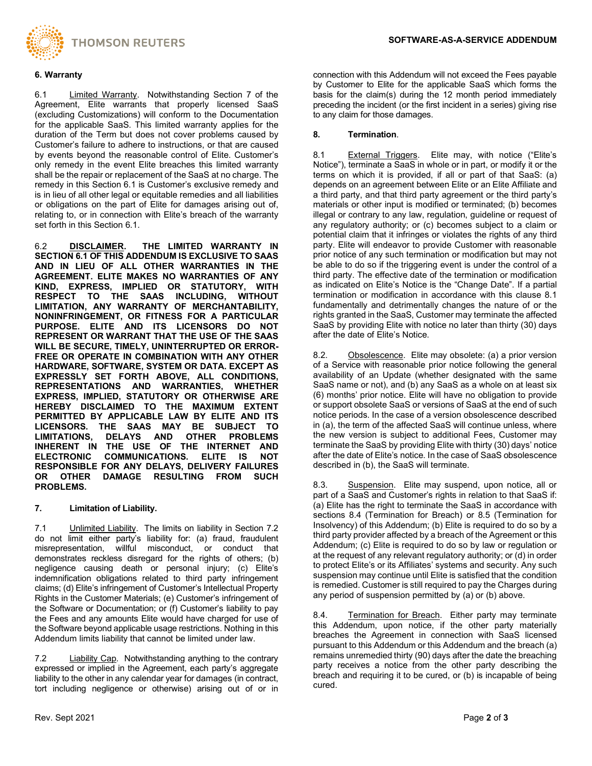

## **6. Warranty**

6.1 Limited Warranty. Notwithstanding Section 7 of the Agreement, Elite warrants that properly licensed SaaS (excluding Customizations) will conform to the Documentation for the applicable SaaS. This limited warranty applies for the duration of the Term but does not cover problems caused by Customer's failure to adhere to instructions, or that are caused by events beyond the reasonable control of Elite. Customer's only remedy in the event Elite breaches this limited warranty shall be the repair or replacement of the SaaS at no charge. The remedy in this Section 6.1 is Customer's exclusive remedy and is in lieu of all other legal or equitable remedies and all liabilities or obligations on the part of Elite for damages arising out of, relating to, or in connection with Elite's breach of the warranty set forth in this Section 6.1.

6.2 **DISCLAIMER. THE LIMITED WARRANTY IN SECTION 6.1 OF THIS ADDENDUM IS EXCLUSIVE TO SAAS AND IN LIEU OF ALL OTHER WARRANTIES IN THE AGREEMENT. ELITE MAKES NO WARRANTIES OF ANY KIND, EXPRESS, IMPLIED OR STATUTORY, WITH RESPECT TO THE SAAS INCLUDING, WITHOUT LIMITATION, ANY WARRANTY OF MERCHANTABILITY, NONINFRINGEMENT, OR FITNESS FOR A PARTICULAR PURPOSE. ELITE AND ITS LICENSORS DO NOT REPRESENT OR WARRANT THAT THE USE OF THE SAAS WILL BE SECURE, TIMELY, UNINTERRUPTED OR ERROR-FREE OR OPERATE IN COMBINATION WITH ANY OTHER HARDWARE, SOFTWARE, SYSTEM OR DATA. EXCEPT AS EXPRESSLY SET FORTH ABOVE, ALL CONDITIONS, REPRESENTATIONS AND WARRANTIES, WHETHER EXPRESS, IMPLIED, STATUTORY OR OTHERWISE ARE HEREBY DISCLAIMED TO THE MAXIMUM EXTENT PERMITTED BY APPLICABLE LAW BY ELITE AND ITS LICENSORS. THE SAAS MAY BE SUBJECT TO LOTHER PROBLEMS INHERENT IN THE USE OF THE INTERNET AND ELECTRONIC COMMUNICATIONS. RESPONSIBLE FOR ANY DELAYS, DELIVERY FAILURES OR OTHER DAMAGE RESULTING FROM SUCH PROBLEMS.**

#### **7. Limitation of Liability.**

7.1 Unlimited Liability. The limits on liability in Section 7.2 do not limit either party's liability for: (a) fraud, fraudulent misrepresentation, willful misconduct, or conduct that demonstrates reckless disregard for the rights of others; (b) negligence causing death or personal injury; (c) Elite's indemnification obligations related to third party infringement claims; (d) Elite's infringement of Customer's Intellectual Property Rights in the Customer Materials; (e) Customer's infringement of the Software or Documentation; or (f) Customer's liability to pay the Fees and any amounts Elite would have charged for use of the Software beyond applicable usage restrictions. Nothing in this Addendum limits liability that cannot be limited under law.

7.2 Liability Cap. Notwithstanding anything to the contrary expressed or implied in the Agreement, each party's aggregate liability to the other in any calendar year for damages (in contract, tort including negligence or otherwise) arising out of or in connection with this Addendum will not exceed the Fees payable by Customer to Elite for the applicable SaaS which forms the basis for the claim(s) during the 12 month period immediately preceding the incident (or the first incident in a series) giving rise to any claim for those damages.

## **8. Termination**.

8.1 External Triggers. Elite may, with notice ("Elite's Notice"), terminate a SaaS in whole or in part, or modify it or the terms on which it is provided, if all or part of that SaaS: (a) depends on an agreement between Elite or an Elite Affiliate and a third party, and that third party agreement or the third party's materials or other input is modified or terminated; (b) becomes illegal or contrary to any law, regulation, guideline or request of any regulatory authority; or (c) becomes subject to a claim or potential claim that it infringes or violates the rights of any third party. Elite will endeavor to provide Customer with reasonable prior notice of any such termination or modification but may not be able to do so if the triggering event is under the control of a third party. The effective date of the termination or modification as indicated on Elite's Notice is the "Change Date". If a partial termination or modification in accordance with this clause 8.1 fundamentally and detrimentally changes the nature of or the rights granted in the SaaS, Customer may terminate the affected SaaS by providing Elite with notice no later than thirty (30) days after the date of Elite's Notice.

8.2. Obsolescence. Elite may obsolete: (a) a prior version of a Service with reasonable prior notice following the general availability of an Update (whether designated with the same SaaS name or not), and (b) any SaaS as a whole on at least six (6) months' prior notice. Elite will have no obligation to provide or support obsolete SaaS or versions of SaaS at the end of such notice periods. In the case of a version obsolescence described in (a), the term of the affected SaaS will continue unless, where the new version is subject to additional Fees, Customer may terminate the SaaS by providing Elite with thirty (30) days' notice after the date of Elite's notice. In the case of SaaS obsolescence described in (b), the SaaS will terminate.

8.3. Suspension. Elite may suspend, upon notice, all or part of a SaaS and Customer's rights in relation to that SaaS if: (a) Elite has the right to terminate the SaaS in accordance with sections 8.4 (Termination for Breach) or 8.5 (Termination for Insolvency) of this Addendum; (b) Elite is required to do so by a third party provider affected by a breach of the Agreement or this Addendum; (c) Elite is required to do so by law or regulation or at the request of any relevant regulatory authority; or (d) in order to protect Elite's or its Affiliates' systems and security. Any such suspension may continue until Elite is satisfied that the condition is remedied. Customer is still required to pay the Charges during any period of suspension permitted by (a) or (b) above.

8.4. Termination for Breach. Either party may terminate this Addendum, upon notice, if the other party materially breaches the Agreement in connection with SaaS licensed pursuant to this Addendum or this Addendum and the breach (a) remains unremedied thirty (90) days after the date the breaching party receives a notice from the other party describing the breach and requiring it to be cured, or (b) is incapable of being cured.